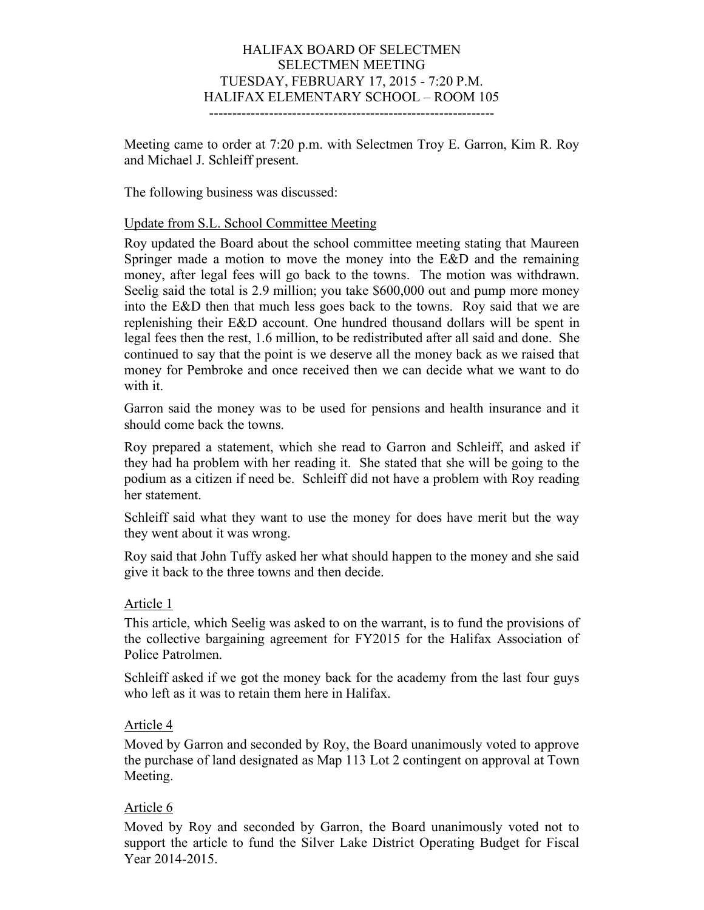## HALIFAX BOARD OF SELECTMEN SELECTMEN MEETING TUESDAY, FEBRUARY 17, 2015 - 7:20 P.M. HALIFAX ELEMENTARY SCHOOL – ROOM 105

--------------------------------------------------------------

Meeting came to order at 7:20 p.m. with Selectmen Troy E. Garron, Kim R. Roy and Michael J. Schleiff present.

The following business was discussed:

### Update from S.L. School Committee Meeting

Roy updated the Board about the school committee meeting stating that Maureen Springer made a motion to move the money into the E&D and the remaining money, after legal fees will go back to the towns. The motion was withdrawn. Seelig said the total is 2.9 million; you take \$600,000 out and pump more money into the E&D then that much less goes back to the towns. Roy said that we are replenishing their E&D account. One hundred thousand dollars will be spent in legal fees then the rest, 1.6 million, to be redistributed after all said and done. She continued to say that the point is we deserve all the money back as we raised that money for Pembroke and once received then we can decide what we want to do with it.

Garron said the money was to be used for pensions and health insurance and it should come back the towns.

Roy prepared a statement, which she read to Garron and Schleiff, and asked if they had ha problem with her reading it. She stated that she will be going to the podium as a citizen if need be. Schleiff did not have a problem with Roy reading her statement.

Schleiff said what they want to use the money for does have merit but the way they went about it was wrong.

Roy said that John Tuffy asked her what should happen to the money and she said give it back to the three towns and then decide.

#### Article 1

This article, which Seelig was asked to on the warrant, is to fund the provisions of the collective bargaining agreement for FY2015 for the Halifax Association of Police Patrolmen.

Schleiff asked if we got the money back for the academy from the last four guys who left as it was to retain them here in Halifax.

#### Article 4

Moved by Garron and seconded by Roy, the Board unanimously voted to approve the purchase of land designated as Map 113 Lot 2 contingent on approval at Town Meeting.

#### Article 6

Moved by Roy and seconded by Garron, the Board unanimously voted not to support the article to fund the Silver Lake District Operating Budget for Fiscal Year 2014-2015.